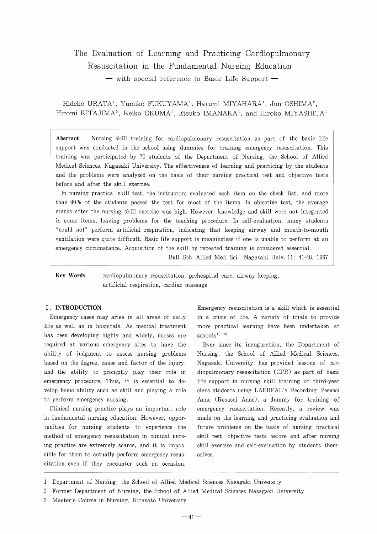# The Evaluation of Learning and Practicing Cardiopulmonary Resuscitation in the Fundamental Nursing Education

 $-$  with special reference to Basic Life Support  $-$ 

Hideko URATA<sup>1</sup>, Yumiko FUKUYAMA<sup>1</sup>. Harumi MIYAHARA<sup>1</sup>, Jun OSHIMA<sup>2</sup>, Hiromi KITAJIMA<sup>3</sup>, Keiko OKUMA<sup>1</sup>, Etsuko IMANAKA<sup>1</sup>, and Hiroko MIYASHITA<sup>1</sup>

Abstract Nursing skill training for cardiopulmonary resuscitation as part of the basic life support was conducted in the school using dummies for training emergency resuscitation. This training was participated by 70 students of the Department of Nursing, the School of Allied Medical Sciences, Nagasaki University. The effectiveness of learning and practicing by the students and the problems were analyzed on the basis of their nursing practical test and objective tests before and after the skill exercise.

In nursing practical skill test, the instructors evaluated each item on the check list, and more than 90% of the students passed the test for most of the items. In objective test, the average marks after the nursing skill exercise was high. However, knowledge and skill were not integrated in some items, Ieaving problems for the teaching procedure. In self-evaluation, many students "could not" perform artificial respiration, indicating that keeping airway and mouth-to-mouth ventilation were quite difficult. Basic life support is meaningless if one is unable to perform at an emergency circumstance. Acquisition of the skill by repeated training is considered essential.

Bull. Sch. Allied Med. Sci., Nagasaki Univ. 11: 41-48, 1997

**Key Words** : cardiopulmonary resuscitation, prehospital care, airway keeping, artificial respiration, cardiac massage

#### I . INTRODUCTION

Emergency cases may arise in all areas of daily life as well as in hospitals. As medical treatment has been developing highly and widely, nurses are required at various emergency sites to have the ability of judgment to assess nursing problems based on the degree, cause and factor of the injury. and the ability to promptly play their role in emergency procedure. Thus, it is essential to develop basic ability such as skill and playing a role to perform emergency nursing.

Clinical nursing practice plays an important role in fundamental nursing education. However, opportunities for nursing students to experience the method of emergency resuscitation in clinical nursing practice are extremely scarce, and it is impossible for them to actually perform emergency resuscitation even if they encounter such an occasion. Emergency resuscitation is a skill which is essential in a crisis of life. A variety of trials to provide more practical learning have been undertaken at  $schools<sup>1</sup>~10$ .

Ever since its inauguration, the Department of Nursing, the School of Allied Medical Sciences, Nagasaki University, has provided lessons of cardiopulmonary resuscitation (CPR) as part of basic life support in nursing skill training of third-year class students using LAERPAL'S Recording Resusci Anne (Resusci Anne), a dummy for training of emergency resuscitation. Recently, a review was made on the learning and practicing evaluation and future problems on the basis of nursing practical skill test, objective tests before and after nursing skill exercise and self-evaluation by students themselves.

3 Master's Course in Nursing, Kitasato University

<sup>1</sup>  Department of Nursing, the School of Allied Medical Sciences Nasagaki University

<sup>2</sup>  Former Department of Nursing, the School of Allied Medical Sciences Nasagaki University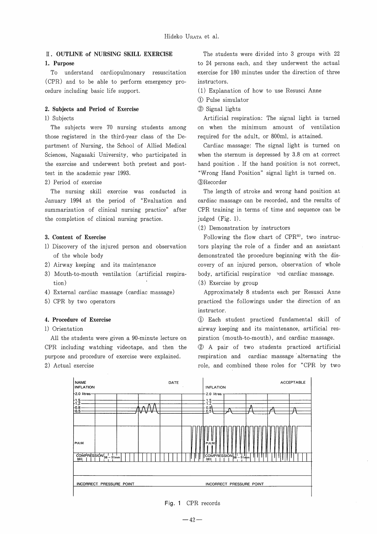# II . OUTLlNE of NURSlNG SKILL EXERCISE

# 1. Purpose

To understand cardiopulmonary resuscitation (CPR) and to be able to perform emergency procedure including basic life support.

## 2. Subjects and Period of Exercise

1) Subjects

The subjects were 70 nursing students among those registered in the third-year class of the Department of Nursing, the School of Allied Medical Sciences, Nagasaki University, who participated in the exercise and underwent both pretest and posttest in the academic year 1993.

# 2) Period of exercise

The nursing skill exercise was conducted in January 1994 at the period of "Evaluation and summarization of clinical nursing practice" after the completion of clinical nursing practice.

# 3. Content of Exercise

- 1) Discovery of the injured person and observation of the whole body
- 2) Airway keeping and its maintenance
- 3) Mouth-to-mouth ventilation (artificial respiration)
- 4) External cardiac massage ( cardiac massage)
- 5) CPR by two operators

#### 4. Procedure of Exercise

### l) Orientation

A11 the students were given a 90-minute lecture on CPR including watching videotape, and then the purpose and procedure of exercise were explained. 2) Actual exercise

The students were divided into 3 groups with 22 to 24 persons each, and they underwent the actual exercise for 180 minutes under the direction of three instructors .

- (1) Explanation of how to use Resusci Anne
- ~) Pulse sirnulator
- (2) Signal lights

Artificial respiration: The signal light is turned on when the minimurn amount of ventilation required for the adult, or 800ml, is attained.

Cardiac massage: The signal light is turned on when the sternum is depressed by 3.8 cm at correct hand position . If the hand position is not correct, "Wrong Hand Position" signal light is turned on. 3Recorder

The length of stroke and wrong hand position at cardiac massage can be recorded, and the results of CPR training in terms of time and sequence can be judged (Fig. l).

(2) Demonstration by instructors

Following the flow chart of  $CPR<sup>11</sup>$ , two instructors playing the role of a finder and an assistant demonstrated the procedure beginning with the discovery of an injured person, observation of whole body, artificial respiration ~nd cardiac massage.

(3) Exercise by group

Approximately 8 students each per Resusci Anne practiced the followings under the direction of an instructor.

~) Each student practiced fundamental skill of airway keeping and its maintenance, artificial respiration (mouth-to-mouth), and cardiac massage.

(2) A pair of two students practiced artificial respiration and cardiac massage alternating the role, and combined these roles for "CPR by two



#### Fig. 1 CPR records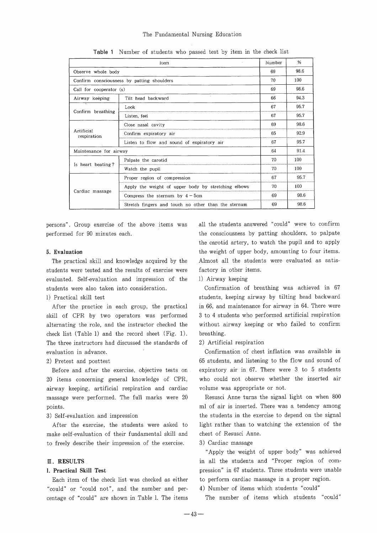# The Fundamental Nursing Education

| ltem                                       |                                                     | Number | %    |
|--------------------------------------------|-----------------------------------------------------|--------|------|
| Observe whole body                         |                                                     | 69     | 98.6 |
| Confirm consciousness by patting shoulders |                                                     | 70     | 100  |
| Call for cooperator (s)                    |                                                     | 69     | 98.6 |
| Airway keeping                             | Tilt head backward                                  | 66     | 94.3 |
| Confirm breathing                          | Look                                                | 67     | 95.7 |
|                                            | Listen, feel                                        | 67     | 95.7 |
| Artificial<br>respiration                  | Close nasal cavity                                  | 69     | 98.6 |
|                                            | Confirm expiratory air                              | 65     | 92.9 |
|                                            | Listen to flow and sound of expiratory air          | 67     | 95.7 |
| Maintenance for airway                     |                                                     | 64     | 91.4 |
| Is heart beating?                          | Palpate the carotid                                 | 70     | 100  |
|                                            | Watch the pupil                                     | 70     | 100  |
| Cardiac massage                            | Proper region of compression                        | 67     | 95.7 |
|                                            | Apply the weight of upper body by stretching elbows | 70     | 100  |
|                                            | Compress the sternum by $4-5$ cm                    | 69     | 98.6 |
|                                            | Stretch fingers and touch no other than the sternum | 69     | 98.6 |

Table I Number of students who passed test by item in the check list

persons". Group exercise of the above items was performed for 90 minutes each.

#### 5. Evaluation

The practical skill and knowledge acquired by the students were tested and the results of exercise were evaluated. Self-evaluation and impression of the students were also taken into consideration.

## l) Practical skill test

After the practice in each group, the practical skill of CPR by two operators was performed alternating the role, and the instructor checked the check list (Table 1) and the record sheet (Fig. l). The three instructors had discussed the standards of evaluation in advance.

#### 2) Pretest and posttest

Before and after the exercise, objective tests on 20 items concerning general knowledge of CPR, airway keeping, artificial respiration and cardiac massage were performed. The full marks were 20 points.

3) Self-evaluation and impression

After the exercise, the students were asked to make self-evaluation of their fundamental skill and to freely describe their impression of the exercise.

# $\mathbb I$ . RESULTS

#### l. Practical Skill Test

Each item of the check list was checked as either "could" or "could not", and the number and percentage of "could" are shown in Table l. The items all the students answered "could" were to confirm the consciousness by patting shoulders, to palpate the carotid artery, to watch the pupil and to apply the weight of upper body, amounting to four items. Almost all the students were evaluated as satisfactory in other items.

l) Airway keeping

Confirmation of breathing was achieved in 67 students, keeping airway by tilting head backward in 66, and maintenance for airway in 64. There were 3 to 4 students who performed artificial respiration without airway keeping or who failed to confirm breathing .

2) Artificial respiration

Confirmation of chest inflation was available in 65 students, and listening to the flow and sound of expiratory air in 67. There were 3 to 5 students who could not observe whether the inserted air volume was appropriate or not.

Resusci Anne turns the signal light on when 800 ml of air is inserted. There was a tendency among the students in the exercise to depend on the signal light rather than to watching the extension of the chest of Resusci Anne.

3) Cardiac massage

"Apply the weight of upper body" was achieved in all the students and "Proper region of compression" in 67 students. Three students were unable to perform cardiac massage in a proper region.

4) Number of items which students "could"

The number of items which students "could"

 $-43-$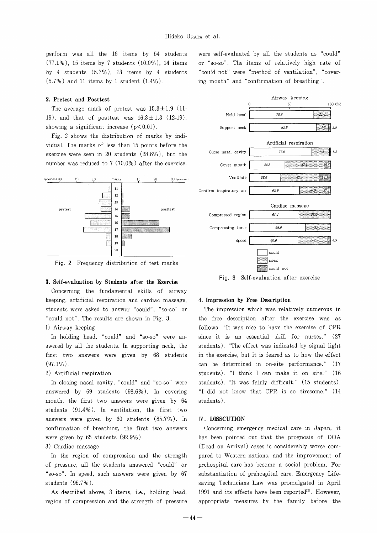perform was all the 16 items by 54 students  $(77.1\%)$ , 15 items by 7 students  $(10.0\%)$ , 14 items by 4 students  $(5.7\%)$ , 13 items by 4 students  $(5.7\%)$  and 11 items by 1 student  $(1.4\%)$ .

#### 2. Pretest and Posttest

The average mark of pretest was  $15.3 \pm 1.9$  (11-19), and that of posttest was  $16.3 \pm 1.3$  (12-19), showing a significant increase  $(p<0.01)$ .

Fig. 2 shows the distribution of marks by individual. The marks of less than 15 points before the exercise were seen in 20 students  $(28.6\%)$ , but the number was reduced to  $7 (10.0\%)$  after the exercise.



Fig. 2 Frequency distribution of test marks

#### 3. Self-evaluation by Students after the Exercise

Concerning the fundamental skills of airway keeping, artificial respiration and cardiac massage, students were asked to answer "could", "so-so" or "could not". The results are shown in Fig. 3.

# l) Airway keeping

In holding head, "could" and "so-so" were answered by all the students. In supporting neck, the first two answers were given by 68 students  $(97.1\%)$ .

# 2) Artificial respiration

In closing nasal cavity, "could" and "so-so" were answered by  $69$  students  $(98.6\%)$ . In covering mouth, the first two answers were given by 64 students  $(91.4\%)$ . In ventilation, the first two answers were given by  $60$  students  $(85.7\%)$ . In confirmation of breathing, the first two answers were given by  $65$  students  $(92.9\%)$ .

# 3) Cardiac massage

In the region of compression and the strength of pressure, all the students answered "could" or "so-so". In speed, such answers were given by 67 students (95.7%).

As described above, 3 items, i.e., holding head, region of compression and the strength of pressure were self-evaluated by all the students as "could" or "so-so". The items of relatively high rate of "could not" were "method of ventilation", "covering mouth" and "confirmation of breathing".



Fig. 3 Self-evaluation after exercise

#### 4. Impression by Free Description

The impression which was relatively numerous in the free description after the exercise was as follows. "It was nice to have the exercise of CPR since it is an essential skill for nurses." (27 students). "The effect was indicated by signal light in the exercise, but it is feared as to how the effect can be determined in on-site performance." (17 students). "I think I can make it on site." (16 students). "It was fairly difficult." ( 15 students). "I did not know that CPR is so tiresome." (14 students).

# IV . DISSCUTION

Concerning emergency medical care in Japan, it has been pointed out that the prognosis of DOA (Dead on Arrival) cases is considerably worse compared to Western nations, and the improvement of prehospital care has become a social problem. For substantiation of prehospital care, Emergency Lifesaving Technicians Law was promulgated in April 1991 and its effects have been reported<sup>12)</sup>. However, appropriate measures by the family before the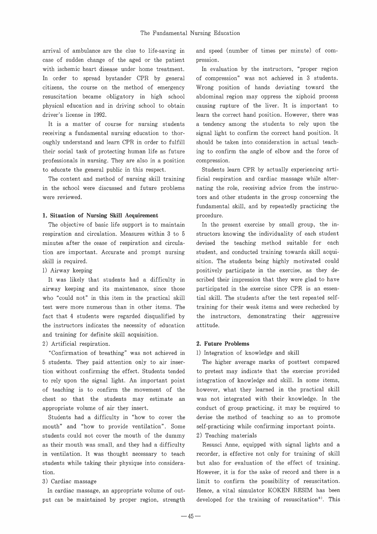arrival of ambulance are the clue to life-saving in and speed (number of times per minute) of comcase of sudden change of the aged or the patient pression. with ischemic heart disease under home treatment. In evaluation by the instructors, "proper region In order to spread bystander CPR by general of compression" was not achieved in 3 students. citizens, the course on the method of emergency Wrong position of hands deviating toward the resuscitation became obligatory in high school abdominal region may oppress the xiphoid process physical education and in driving school to obtain causing rupture of the liver. It is important to driver's license in 1992. learn the correct hand position. However, there was

receiving a fundamental nursing education to thor- signal light to confirm the correct hand position. It oughly understand and learn CPR in order to fulfill should be taken into consideration in actual teachtheir social task of protecting human life as future ing to confirm the angle of elbow and the force of professionals in nursing. They are also in a position compression. to educate the general public in this respect. Students learn CPR by actually experiencing arti-

in the school were discussed and future problems nating the role, receiving advice from the instrucwere reviewed. The students in the group concerning the students in the group concerning the

#### 1. Situation of Nursing Skill Acquirement procedure.

airway keeping and its maintenance, since those participated in the exercise since CPR is an essenwho "could not" in this item in the practical skill tial skill. The students after the test repeated selftest were more numerous than in other items. The training for their weak items and were rechecked by fact that 4 students were regarded disqualified by the instructors, demonstrating their aggressive the instructors indicates the necessity of education attitude. and training for definite skill acquisition.

# 2) Artificial respiration. 2. Future Problems

"Confirmation of breathing" was not achieved in l) Integration of knowledge and skill 5 students. They paid attention only to air inser- The higher average marks of posttest compared tion without confirming the effect. Students tended to pretest may indicate that the exercise provided to rely upon the signal light. An important point integration of knowledge and skill. In some items, of teaching is to confirm the movement of the however, what they learned in the practical skill

mouth" and "how to provide ventilation". Some self-practicing while confirming important points. students could not cover the mouth of the dummy 2) Teaching materials in ventilation. It was thought necessary to teach recorder, is effective not only for training of skill students while taking their physique into considera- but also for evaluation of the effect of training. tion. However, it is for the sake of record and there is a

It is a matter of course for nursing students a tendency among the students to rely upon the

The content and method of nursing skill training ficial respiration and cardiac massage while alterfundamental skill, and by repeatedly practicing the

The objective of basic life support is to maintain In the present exercise by small group, the inrespiration and circulation. Measures within 3 to 5 structors knowing the individuality of each student minutes after the cease of respiration and circula- devised the teaching method suitable for each tion are important. Accurate and prompt nursing student, and conducted training towards skill acquiskill is required. Some students being highly motivated could 1) Airway keeping positively participate in the exercise, as they de-It was likely that students had a difficulty in scribed their impression that they were glad to have

chest so that the students may estimate an was not integrated with their knowledge. In the appropriate volume of air they insert. conduct of group practicing, it may be required to Students had a difficulty in "how to cover the devise the method of teaching so as to promote

as their mouth was small, and they had a difficulty Resusci Anne, equipped with signal lights and a 3) Cardiac massage and interest in the possibility of resuscitation. In cardiac massage, an appropriate volume of out- Hence, a vital simulator KOKEN RESIM has been put can be maintained by proper region, strength developed for the training of resuscitation<sup>8)</sup>. This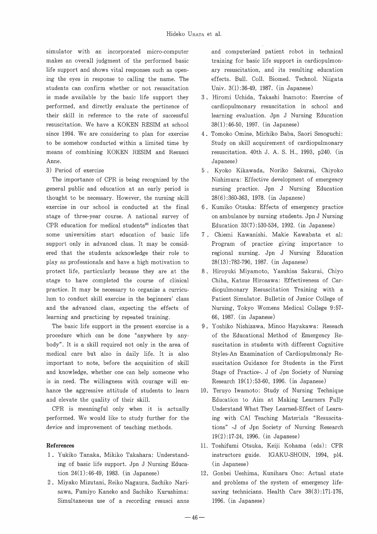simulator with an incorporated micro-computer makes an overall judgment of the performed basic life support and shows vital responses such as opening the eyes in response to calling the name. The students can confirm whether or not resuscitation is made available by the basic life support they performed, and directly evaluate the pertinence of their skill in reference to the rate of successful resuscitation. We have a KOKEN RESIM at school since 1994. We are considering to plan for exercise to be somehow conducted within a limited time by means of combining KOKEN RESIM and Resusci Anne.

3) Period of exercise

The importance of CPR is being recognized by the general public and education at an early period is thought to be necessary. However, the nursing skill exercise in our school is conducted at the final stage of three-year course. A national survey of CPR education for medical students<sup>13)</sup> indicates that sorne universities start education of basic life support only in advanced class. It may be considered that the students acknowledge their role to play as professionals and have a high motivation to protect life, particularly because they are at the stage to have completed the course of clinical practice. It may be necessary to organize a curriculum to conduct skill exercise in the beginners' class and the advanced class, expecting the effects of learning and practicing by repeated training.

The basic life support in the present exercise is a procedure which can be done "anywhere by anybody" . It is a skill required not only in the area of medical care but also in daily life. It is also important to note, before the acquisition of skill and knowledge, whether one can help someone who is in need. The willingness with courage will enhance the aggressive attitude of students to learn and elevate the quality of their skill.

CPR is meaningful only when it is actually performed. We would like to study further for the device and improvement of teaching methods.

## **References**

- 1 . Yukiko Tanaka, Mikiko Takahara: Understanding of basic life support. Jpn J Nursing Education 24(1):46-49, 1983. (in Japanese)
- 2 . Miyako Mizutani, Reiko Nagaura, Sachiko Narisawa, Fumiyo Kaneko and Sachiko Kurushima: Simultaneous use of a recording resusci anne

and computerized patient robot in technical training for basic life support in cardiopulmonary resuscitation, and its resulting education effects. Bull. Coll. Biomed. Technol. Niigata Univ. 3(1):36-49, 1987. (in Japanese)

- 3 Hiromi Uchida, Takashi Inamoto: Exercise of cardiopulmonary resuscitation in school and learning evaluation. Jpn J Nursing Education 38(1):46-50, 1997. (in Japanese)
- 4. Tomoko Omine, Michiko Baba, Saori Senoguchi: Study on skill acquirement of cardiopulmonary resuscitation. 40th J. A. S. H., 1993, p240. (in Ja panese )
- 5 Kyoko Kikawada, Noriko Sakurai, Chiyoko Nishimura: Effective development of emergency nursing practice. Jpn J Nursing Education 28(6):360-363, 1978. (in Japanese)
- 6. Kumiko Otsuka: Effects of emergency practice on ambulance by nursing students. Jpn J Nursing Education 33(7):530-534, 1992. (in Japanese)
- 7. Chiemi Kawanishi. Makie Kawabata et al: Program of practice giving importance to regional nursing. Jpn J Nursing Education 28(13):782-790, 1987. (in Japanese)
- 8 Hiroyuki Miyamoto, Yasuhisa Sakurai, Chiyo Chiba, Katsue Hirosawa: Effectiveness of Cardiopulmonary Resuscitation Training with a Patient Simulator. Bulletin of Junior College of Nursing, Tokyo Womens Medical College 9:57- 66, 1987. (in Japanese)
- 9 Yoshiko Nishizawa, Minoo Hayakawa: Reseach of the Educational Method of Emergency Resuscitation in students with different Cognitive Styles-An Examination of Cardiopulmonaly Resuscitation Guidance for Students in the First Stage of Practice-. J of Jpn Society of Nursing Research 19(1) :53-60, 1996. (in Japanese)
- 10. Teruyo Iwamoto: Study of Nursing Technique Education to Aim at Making Learners Fully Understand What They Learned-Effect of Learning with CAI Teaching Materials "Resuscitations" -J of Jpn Society of Nursing Research 19(2):17-24, 1996. (in Japanese)
- 11 Toshifumi Otsuka, Keiji Kohama (eds): CPR instructors guide. IGAKU-SHOIN, 1994, pl4. (in Japanese)
- 12. Gonbei Ueshima, Kuniharu Ono: Actual state and problems of the system of emergency lifesaving technicians. Health Care 38(3):171-176, 1996. (in Japanese)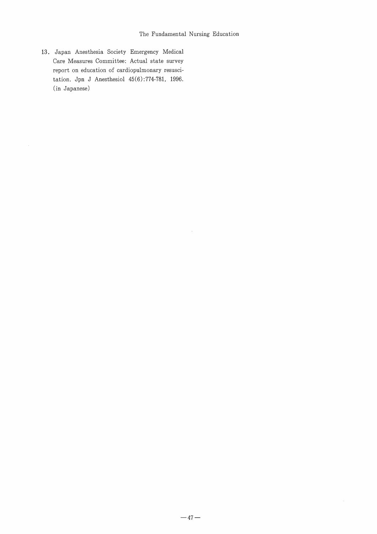13. Japan Anesthesia Society Emergency Medical Care Measures Committee: Actual state survey report on education of cardiopulmonary resuscitation. Jpn J Anesthesiol 45(6):774-781, 1996. (in Japanese)

 $\bar{\alpha}$